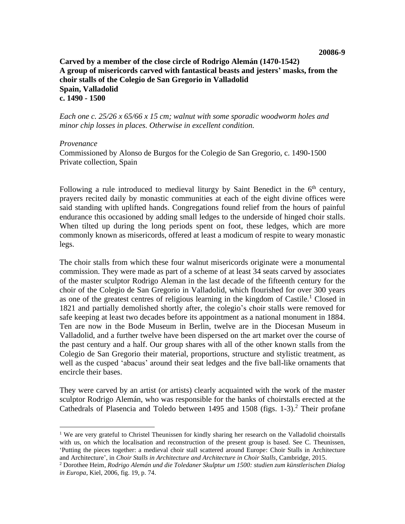## **Carved by a member of the close circle of Rodrigo Alemán (1470-1542) A group of misericords carved with fantastical beasts and jesters' masks, from the choir stalls of the Colegio de San Gregorio in Valladolid Spain, Valladolid c. 1490 - 1500**

*Each one c. 25/26 x 65/66 x 15 cm; walnut with some sporadic woodworm holes and minor chip losses in places. Otherwise in excellent condition.*

## *Provenance*

Commissioned by Alonso de Burgos for the Colegio de San Gregorio, c. 1490-1500 Private collection, Spain

Following a rule introduced to medieval liturgy by Saint Benedict in the  $6<sup>th</sup>$  century, prayers recited daily by monastic communities at each of the eight divine offices were said standing with uplifted hands. Congregations found relief from the hours of painful endurance this occasioned by adding small ledges to the underside of hinged choir stalls. When tilted up during the long periods spent on foot, these ledges, which are more commonly known as misericords, offered at least a modicum of respite to weary monastic legs.

The choir stalls from which these four walnut misericords originate were a monumental commission. They were made as part of a scheme of at least 34 seats carved by associates of the master sculptor Rodrigo Aleman in the last decade of the fifteenth century for the choir of the Colegio de San Gregorio in Valladolid, which flourished for over 300 years as one of the greatest centres of religious learning in the kingdom of Castile.<sup>1</sup> Closed in 1821 and partially demolished shortly after, the colegio's choir stalls were removed for safe keeping at least two decades before its appointment as a national monument in 1884. Ten are now in the Bode Museum in Berlin, twelve are in the Diocesan Museum in Valladolid, and a further twelve have been dispersed on the art market over the course of the past century and a half. Our group shares with all of the other known stalls from the Colegio de San Gregorio their material, proportions, structure and stylistic treatment, as well as the cusped 'abacus' around their seat ledges and the five ball-like ornaments that encircle their bases.

They were carved by an artist (or artists) clearly acquainted with the work of the master sculptor Rodrigo Alemán, who was responsible for the banks of choirstalls erected at the Cathedrals of Plasencia and Toledo between 1495 and 1508 (figs. 1-3). <sup>2</sup> Their profane

<sup>&</sup>lt;sup>1</sup> We are very grateful to Christel Theunissen for kindly sharing her research on the Valladolid choirstalls with us, on which the localisation and reconstruction of the present group is based. See C. Theunissen, 'Putting the pieces together: a medieval choir stall scattered around Europe: Choir Stalls in Architecture and Architecture', in *Choir Stalls in Architecture and Architecture in Choir Stalls*, Cambridge, 2015.

<sup>2</sup> Dorothee Heim, *Rodrigo Alemán und die Toledaner Skulptur um 1500: studien zum künstlerischen Dialog in Europa*, Kiel, 2006, fig. 19, p. 74.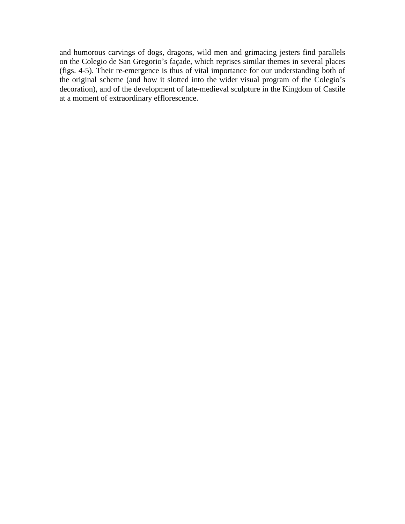and humorous carvings of dogs, dragons, wild men and grimacing jesters find parallels on the Colegio de San Gregorio's façade, which reprises similar themes in several places (figs. 4-5). Their re-emergence is thus of vital importance for our understanding both of the original scheme (and how it slotted into the wider visual program of the Colegio's decoration), and of the development of late-medieval sculpture in the Kingdom of Castile at a moment of extraordinary efflorescence.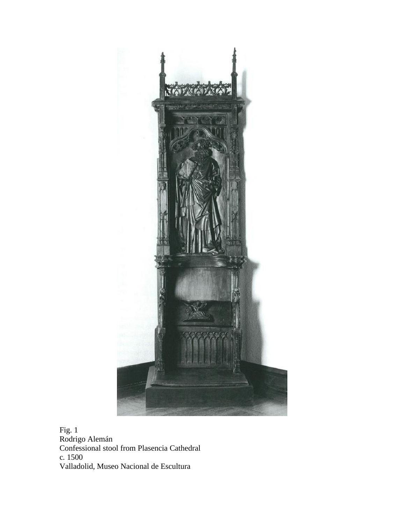

Fig. 1 Rodrigo Alemán Confessional stool from Plasencia Cathedral c*.* 1500 Valladolid, Museo Nacional de Escultura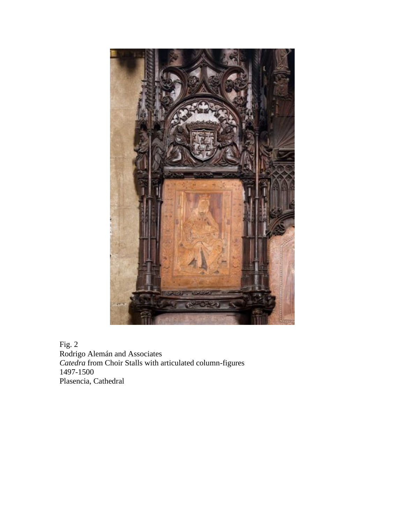

Fig. 2 Rodrigo Alemán and Associates *Catedra* from Choir Stalls with articulated column-figures 1497-1500 Plasencia, Cathedral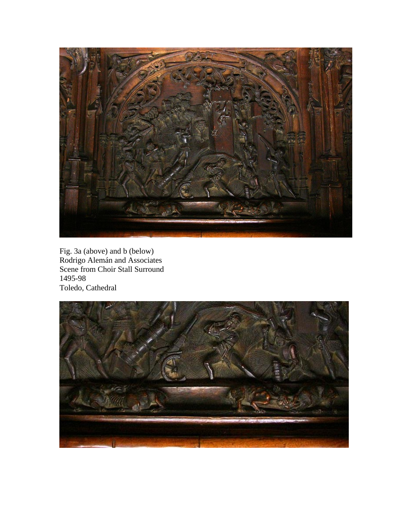

Fig. 3a (above) and b (below) Rodrigo Alemán and Associates Scene from Choir Stall Surround 1495-98 Toledo, Cathedral

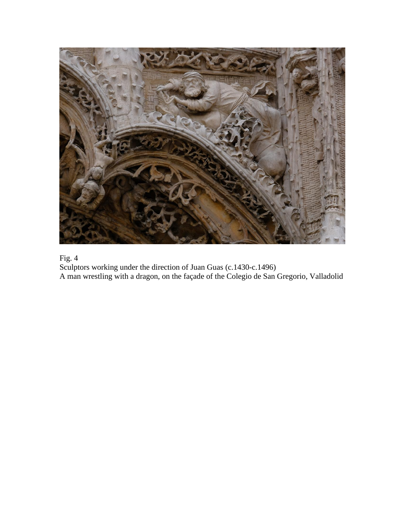

Fig. 4

Sculptors working under the direction of Juan Guas (c.1430-c.1496) A man wrestling with a dragon, on the façade of the Colegio de San Gregorio, Valladolid